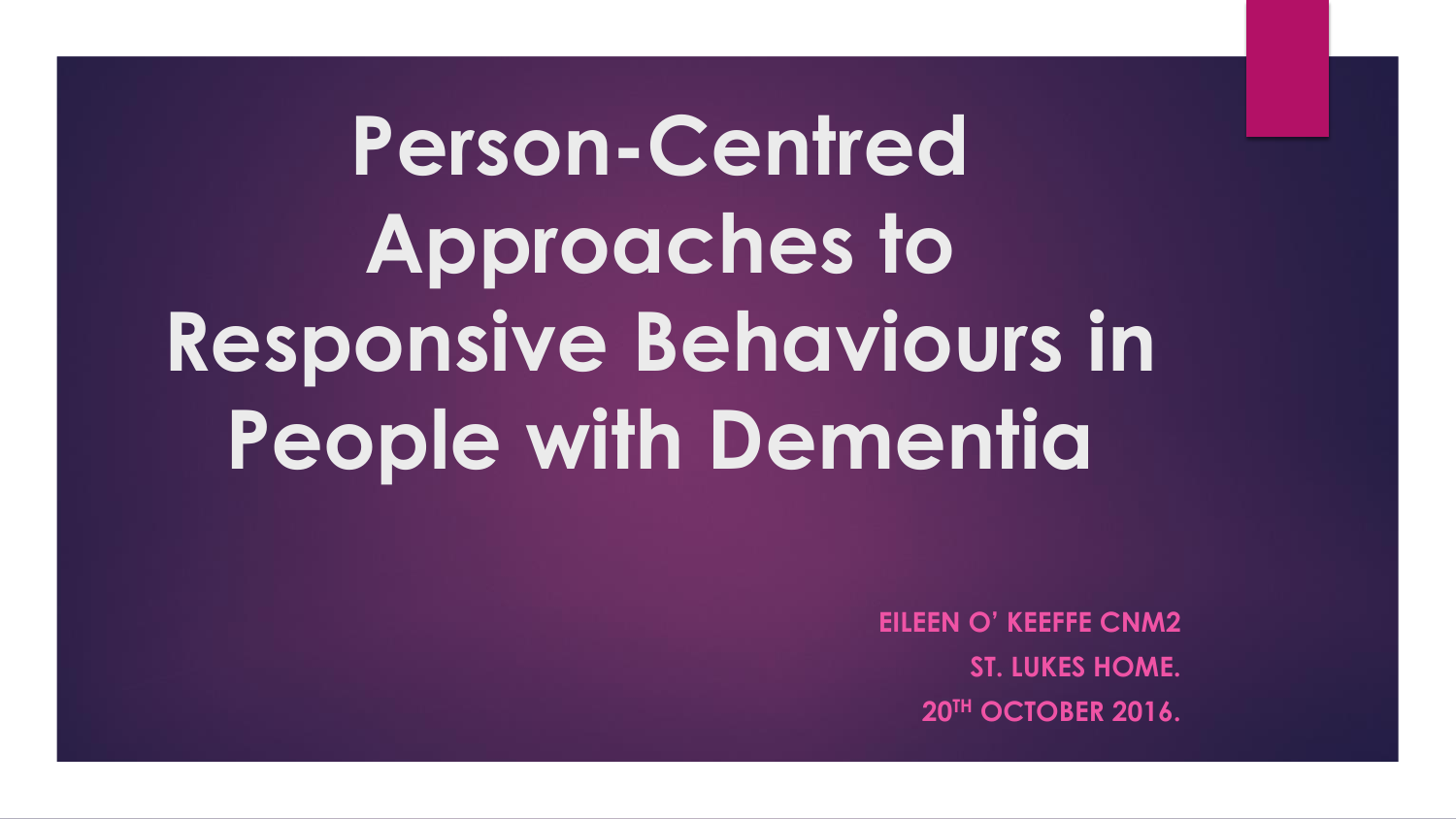**Person-Centred Approaches to** Responsive Behaviours in **People with Dementia** 

> **EILEEN O' KEEFFE CNM2 ST. LUKES HOME.** 20TH OCTOBER 2016.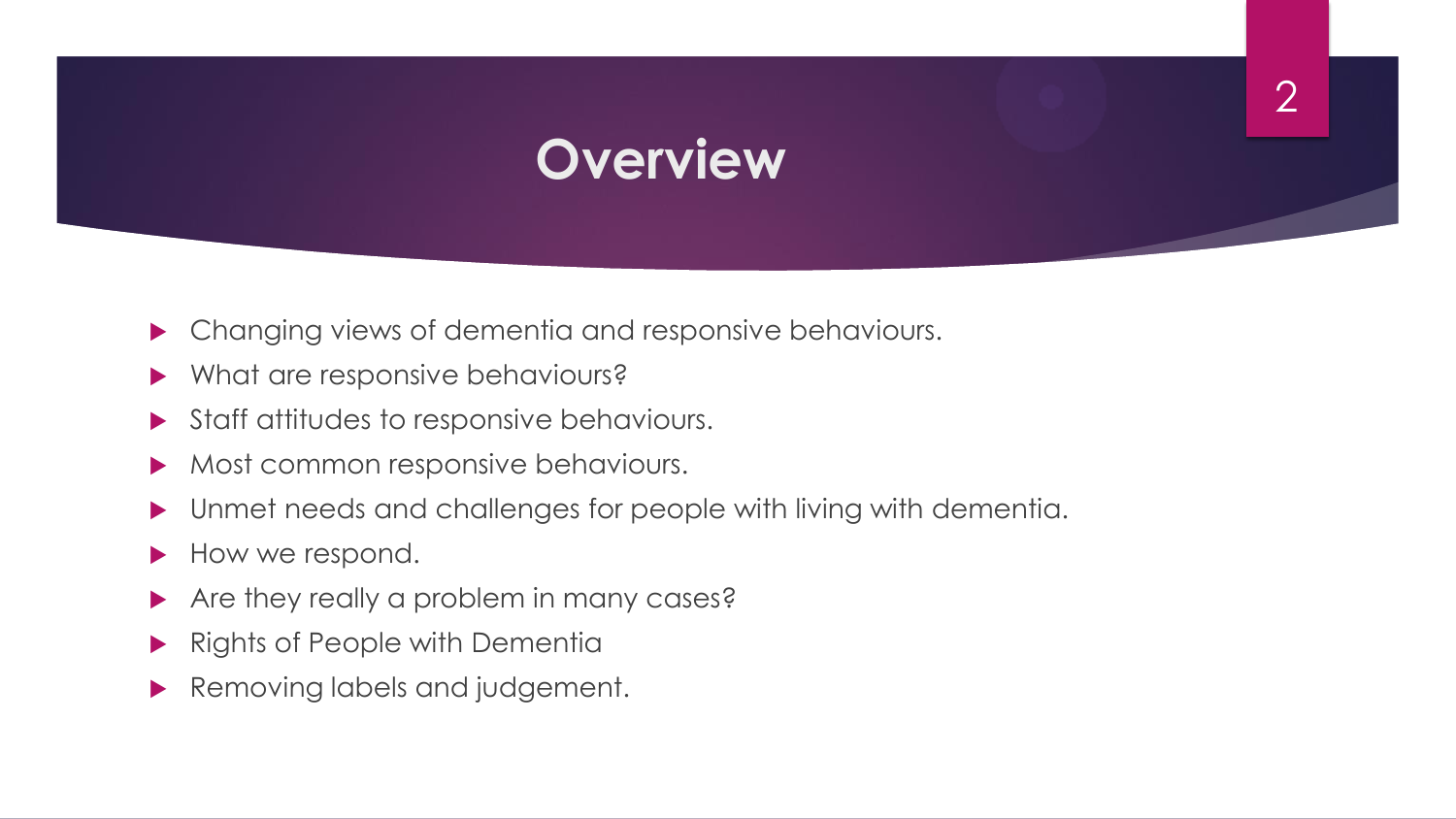### **Overview**

- **Changing views of dementia and responsive behaviours.**
- Mhat are responsive behaviours?
- Staff attitudes to responsive behaviours.
- Most common responsive behaviours.
- Unmet needs and challenges for people with living with dementia.
- How we respond.
- Are they really a problem in many cases?
- Rights of People with Dementia
- Removing labels and judgement.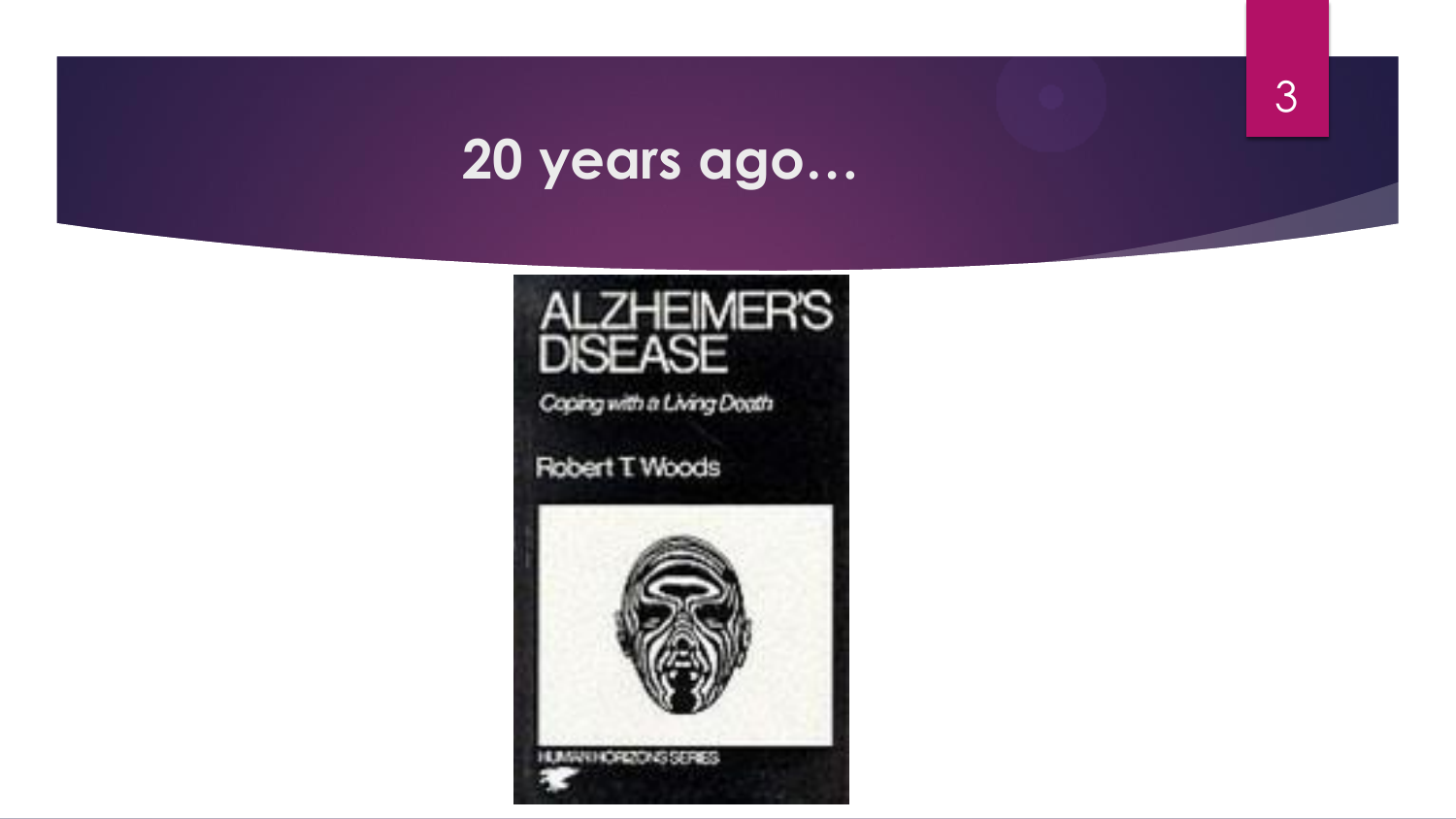#### 20 years ago...

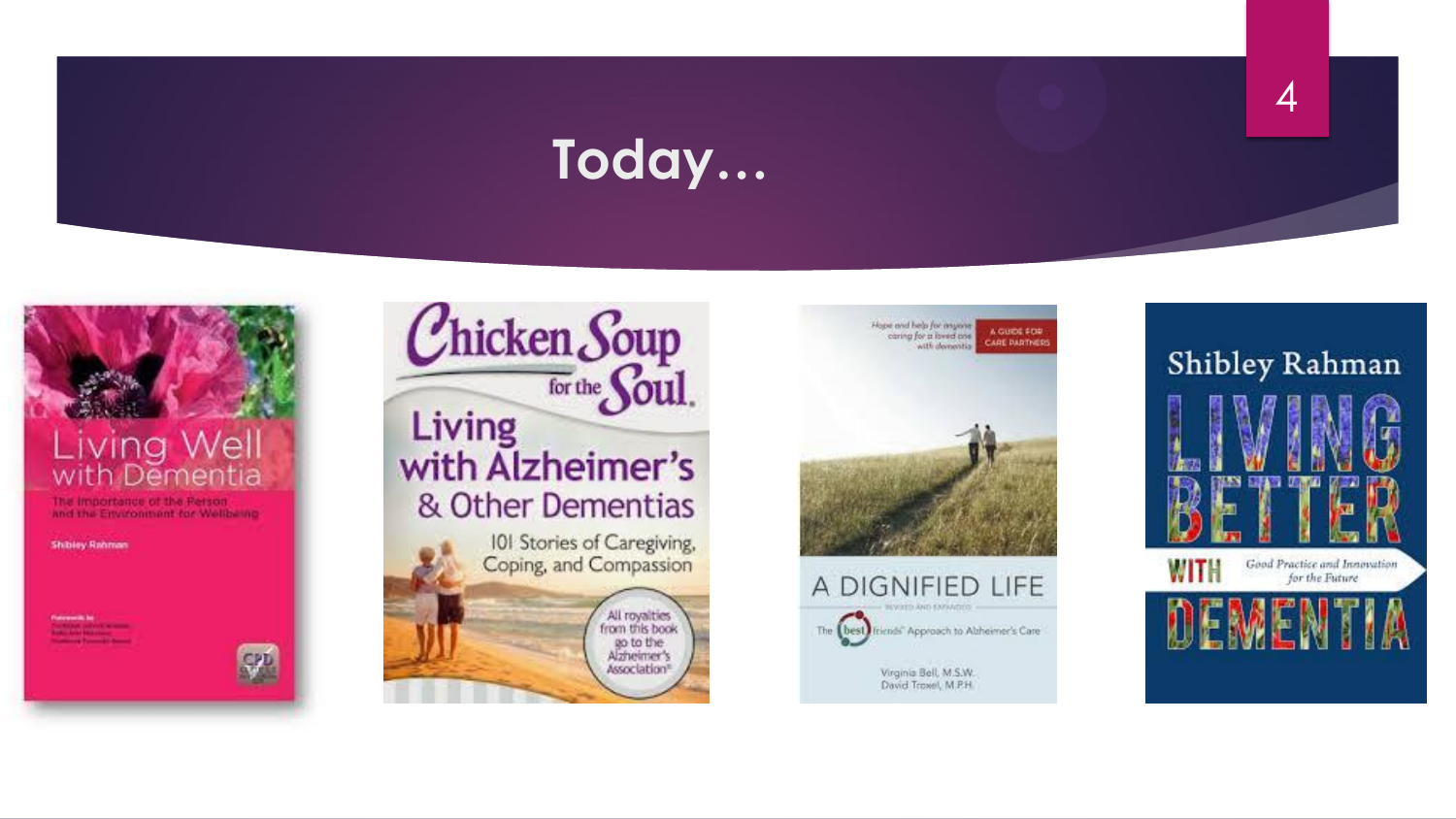#### Today...



**Shibley Rahman** 





Hope and help for anyone

A GUIDE FOR

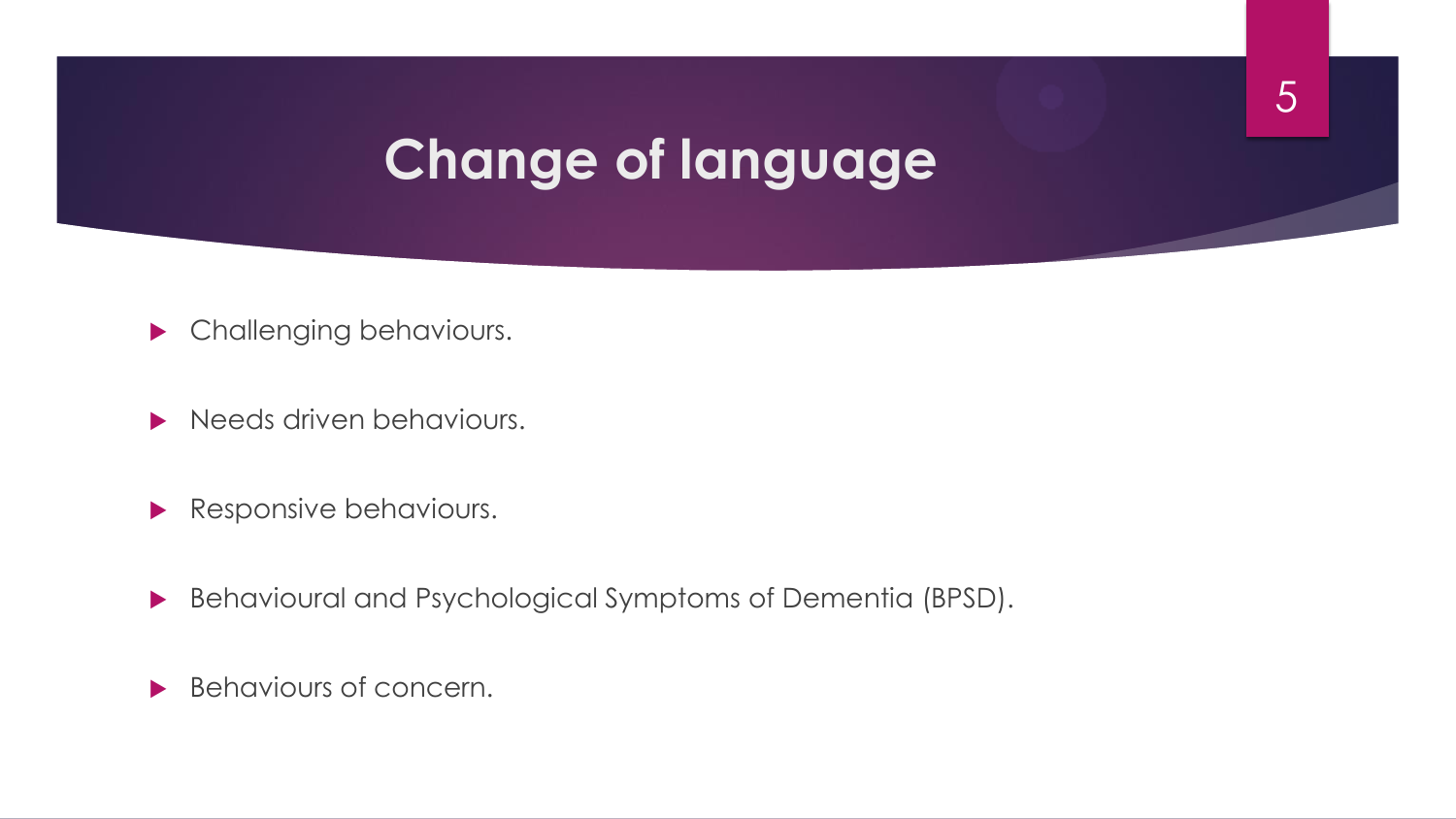### **Change of language**

- **Challenging behaviours.**
- Needs driven behaviours.
- Responsive behaviours.
- Behavioural and Psychological Symptoms of Dementia (BPSD).
- Behaviours of concern.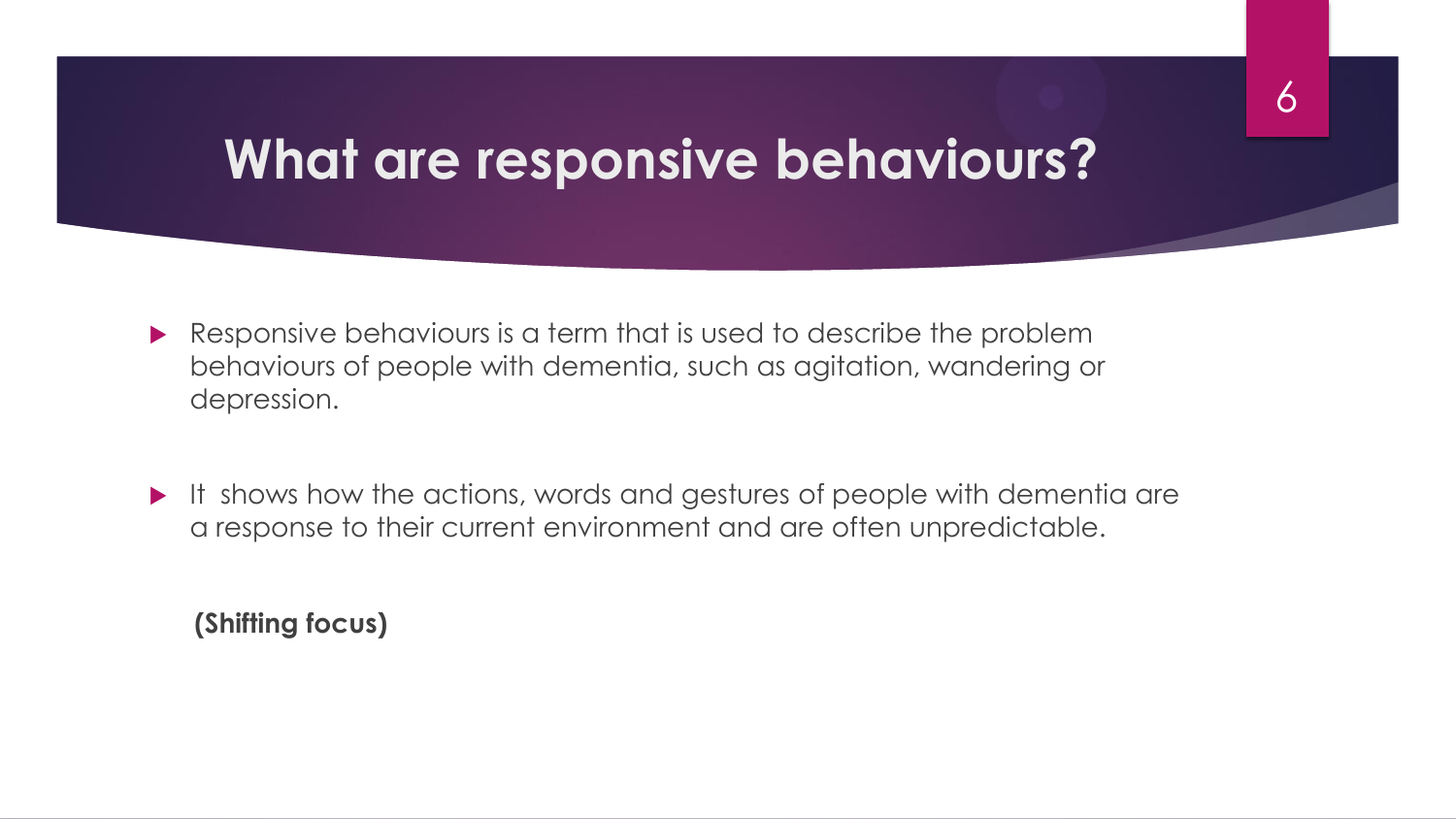#### **What are responsive behaviours?**

- Responsive behaviours is a term that is used to describe the problem behaviours of people with dementia, such as agitation, wandering or depression.
- It shows how the actions, words and gestures of people with dementia are a response to their current environment and are often unpredictable.

 **(Shifting focus)**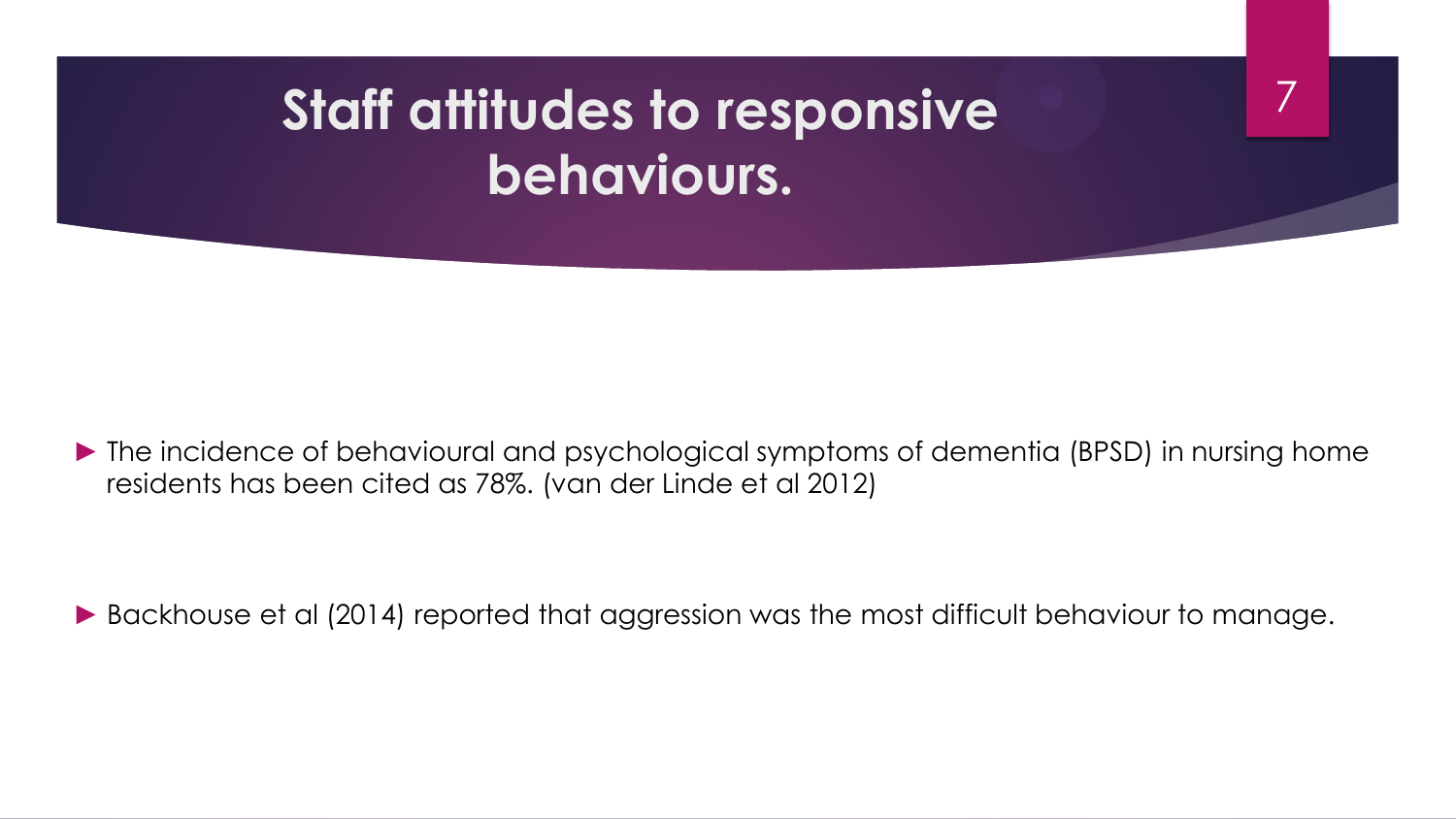# **Staff attitudes to responsive behaviours.**

► The incidence of behavioural and psychological symptoms of dementia (BPSD) in nursing home residents has been cited as 78%. (van der Linde et al 2012)

7

► Backhouse et al (2014) reported that aggression was the most difficult behaviour to manage.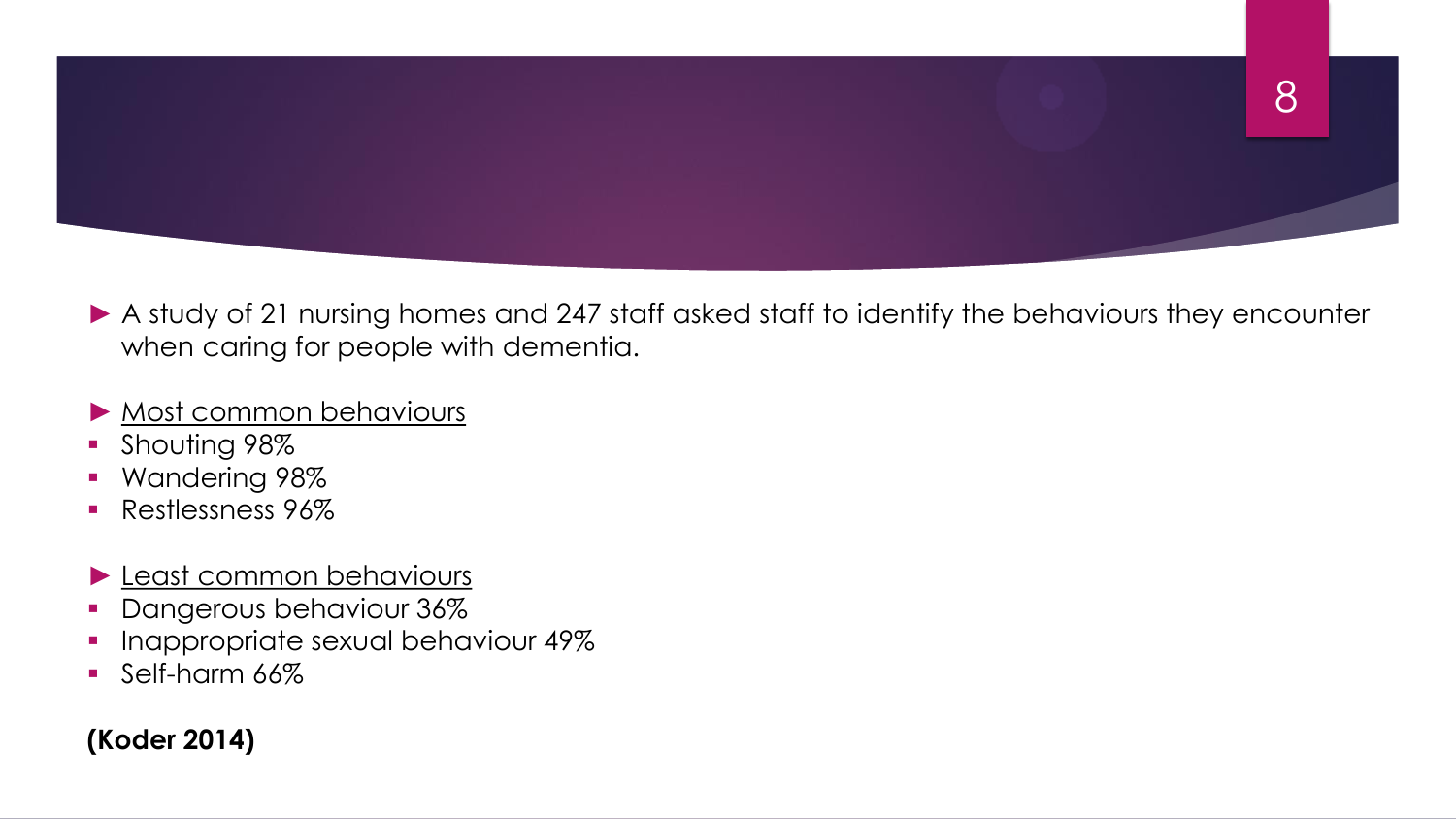

▶ A study of 21 nursing homes and 247 staff asked staff to identify the behaviours they encounter when caring for people with dementia.

#### ► Most common behaviours

- **Shouting 98%**
- **Wandering 98%**
- **Restlessness 96%**
- ► Least common behaviours
- **•** Dangerous behaviour 36%
- **Inappropriate sexual behaviour 49%**
- Self-harm 66%

#### **(Koder 2014)**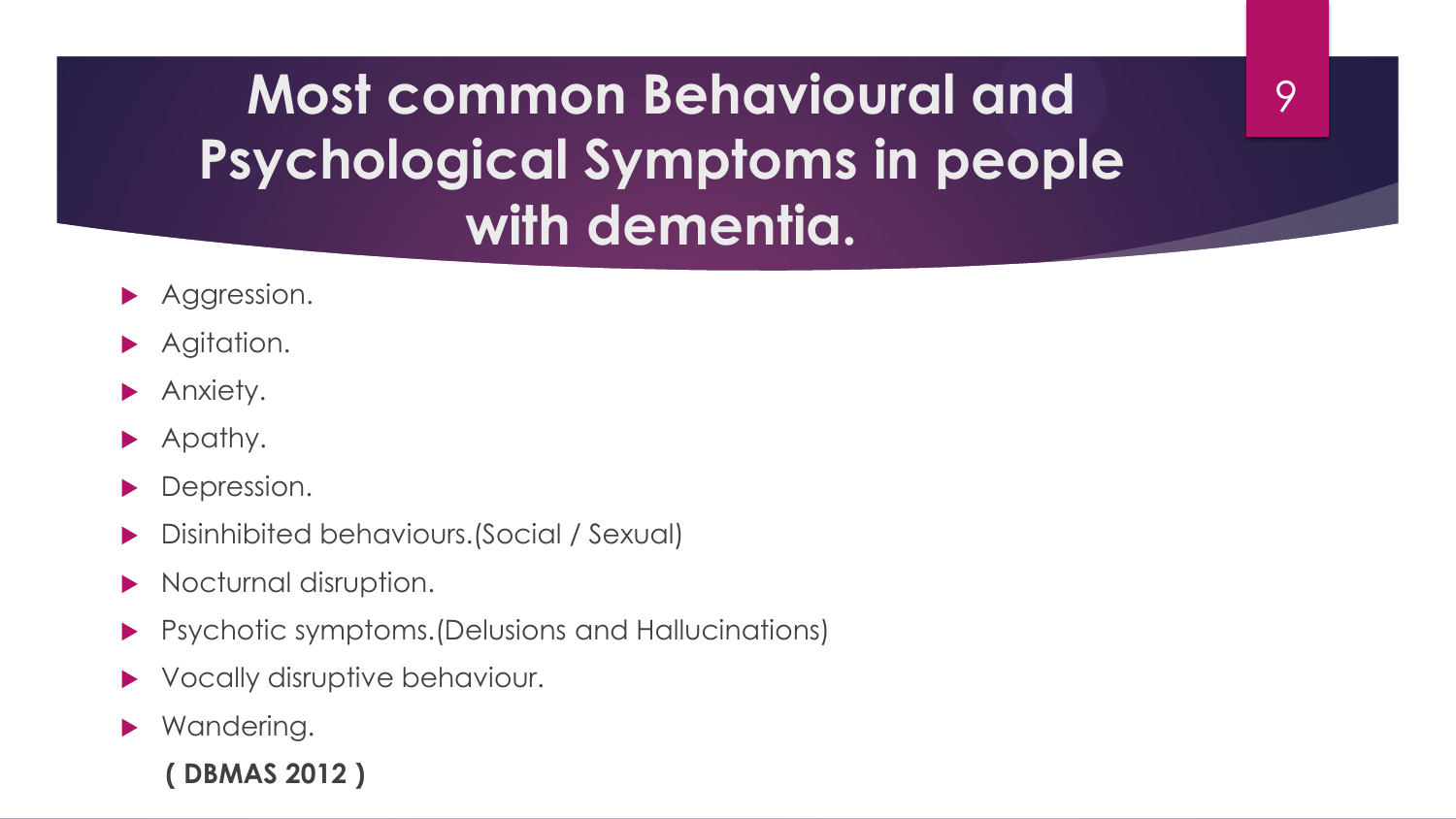**Most common Behavioural and Psychological Symptoms in people with dementia.**

9

- Aggression.
- Agitation.
- Anxiety.
- Apathy.
- Depression.
- Disinhibited behaviours.(Social / Sexual)
- Nocturnal disruption.
- Psychotic symptoms.(Delusions and Hallucinations)
- Vocally disruptive behaviour.
- ▶ Wandering.

 **( DBMAS 2012 )**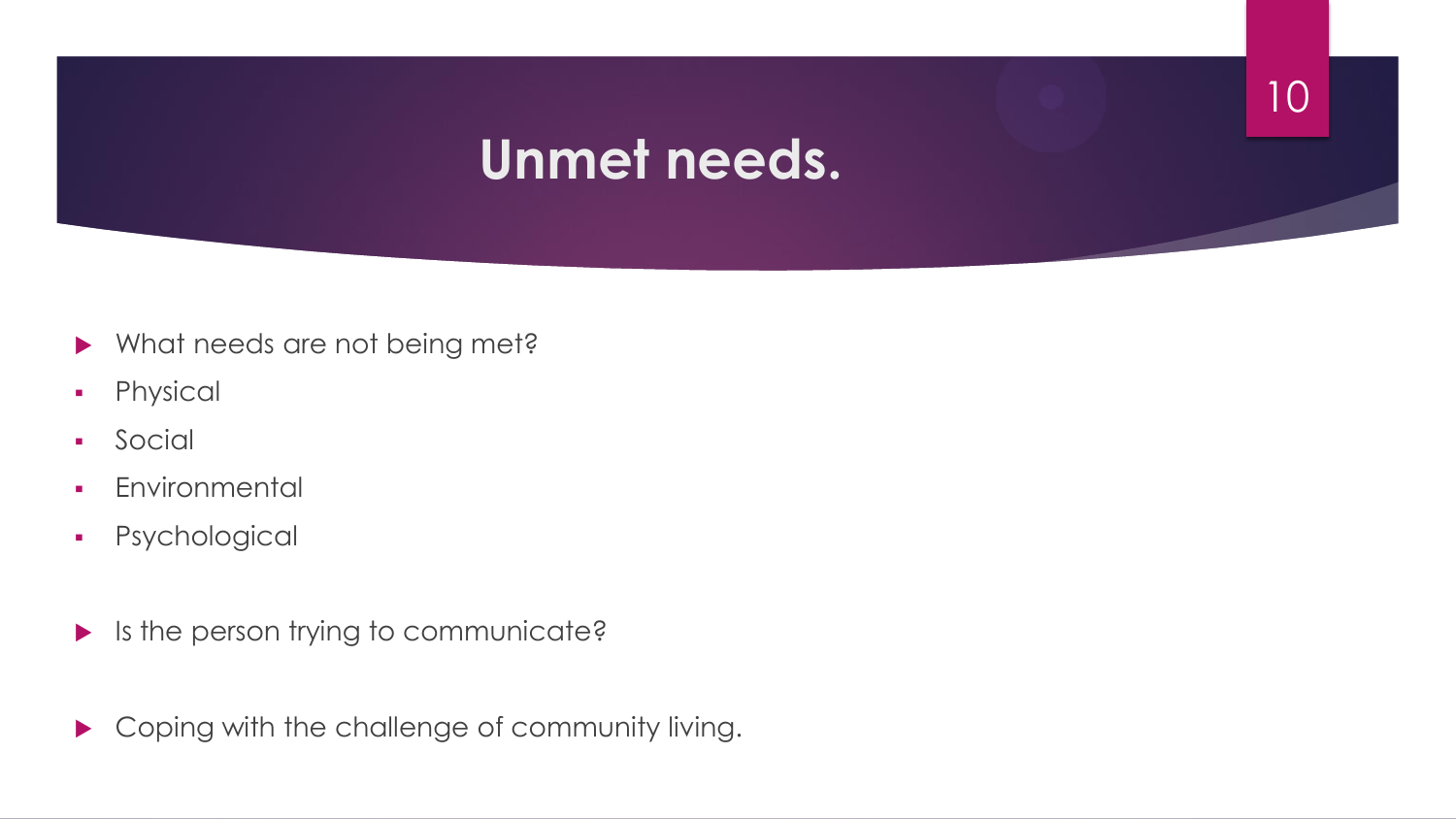#### **Unmet needs.**

- Mhat needs are not being met?
- **•** Physical
- **Social**
- **Environmental**
- Psychological
- $\blacktriangleright$  Is the person trying to communicate?
- ▶ Coping with the challenge of community living.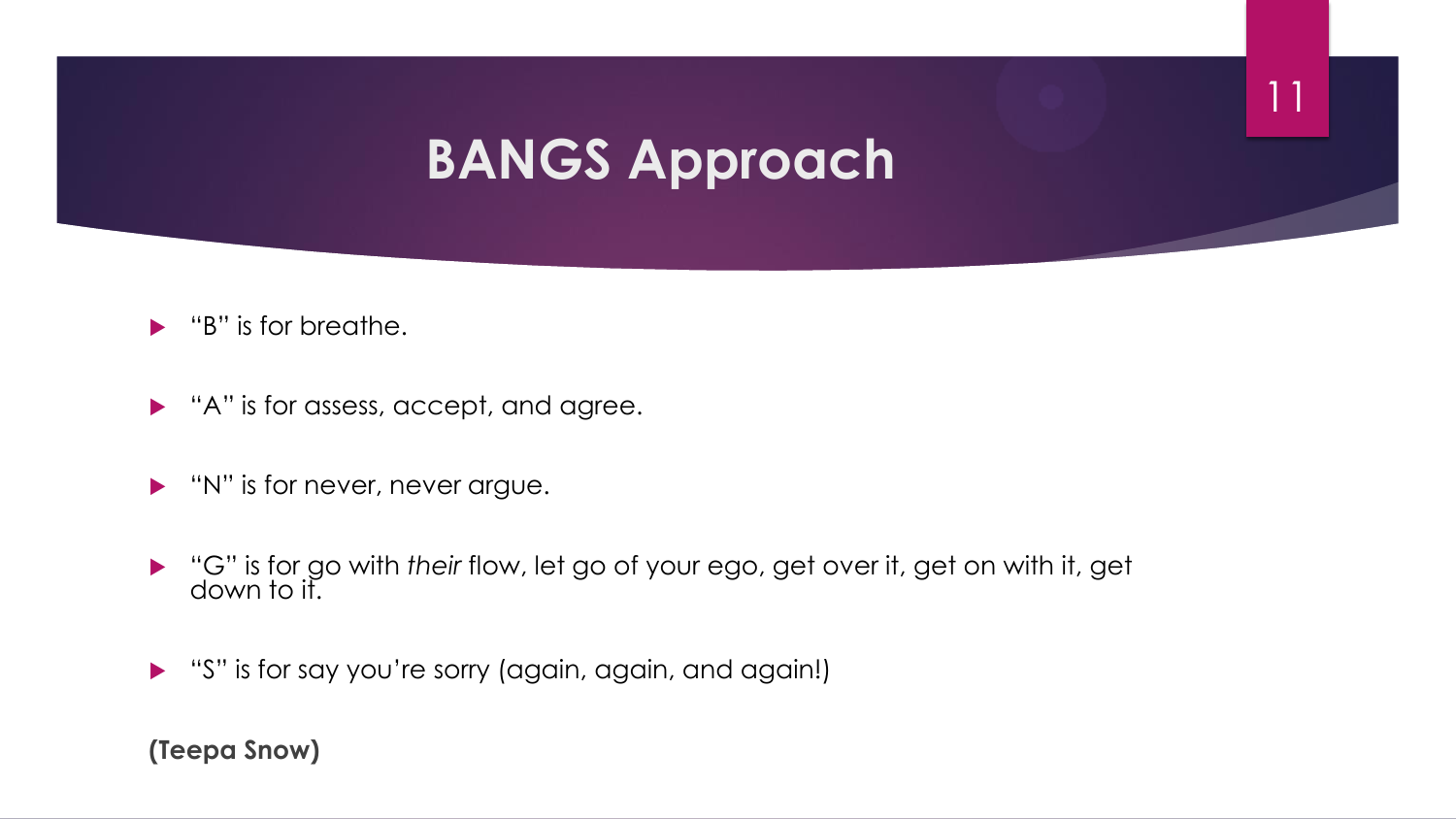### **BANGS Approach**

11

- $\blacktriangleright$  "B" is for breathe.
- A" is for assess, accept, and agree.
- **N''** is for never, never argue.
- "G" is for go with *their* flow, let go of your ego, get over it, get on with it, get down to it.
- "S" is for say you're sorry (again, again, and again!)

#### **(Teepa Snow)**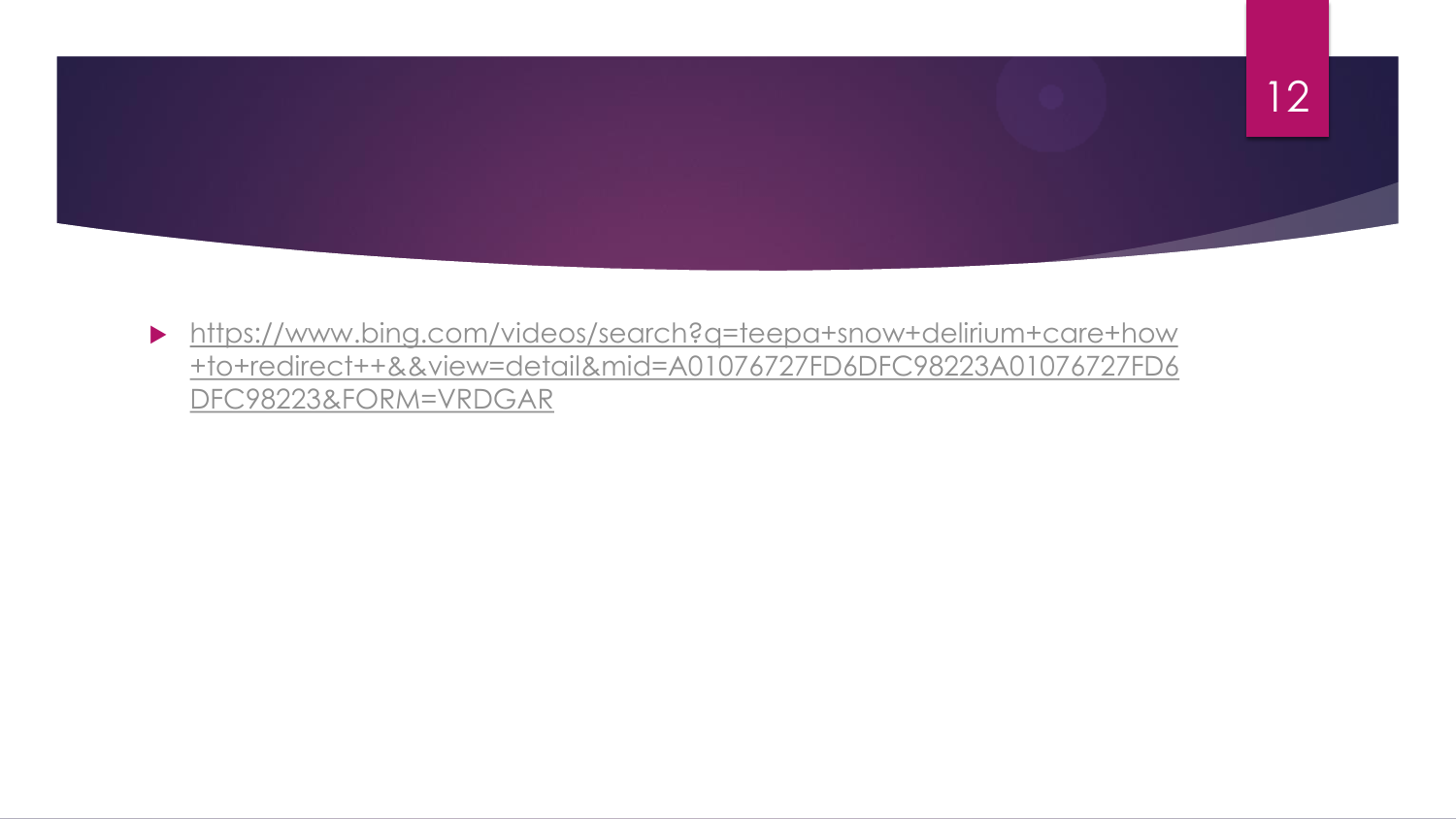

 [https://www.bing.com/videos/search?q=teepa+snow+delirium+care+how](https://www.bing.com/videos/search?q=teepa+snow+delirium+care+how+to+redirect++&&view=detail&mid=A01076727FD6DFC98223A01076727FD6DFC98223&FORM=VRDGAR) [+to+redirect++&&view=detail&mid=A01076727FD6DFC98223A01076727FD6](https://www.bing.com/videos/search?q=teepa+snow+delirium+care+how+to+redirect++&&view=detail&mid=A01076727FD6DFC98223A01076727FD6DFC98223&FORM=VRDGAR) [DFC98223&FORM=VRDGAR](https://www.bing.com/videos/search?q=teepa+snow+delirium+care+how+to+redirect++&&view=detail&mid=A01076727FD6DFC98223A01076727FD6DFC98223&FORM=VRDGAR)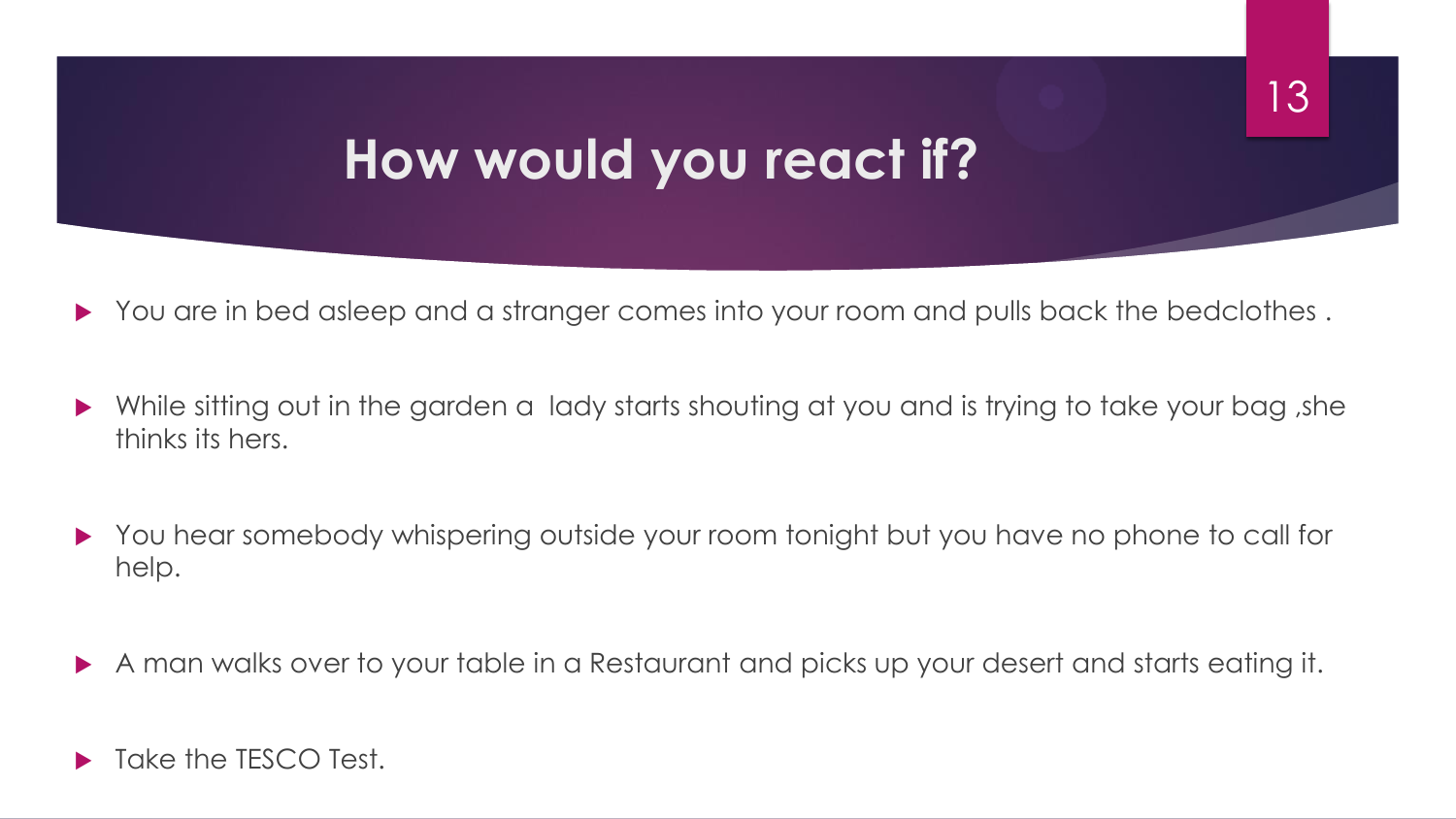#### **How would you react if?**

You are in bed asleep and a stranger comes into your room and pulls back the bedclothes.

- While sitting out in the garden a lady starts shouting at you and is trying to take your bag ,she thinks its hers.
- You hear somebody whispering outside your room tonight but you have no phone to call for help.
- A man walks over to your table in a Restaurant and picks up your desert and starts eating it.
- Take the TESCO Test.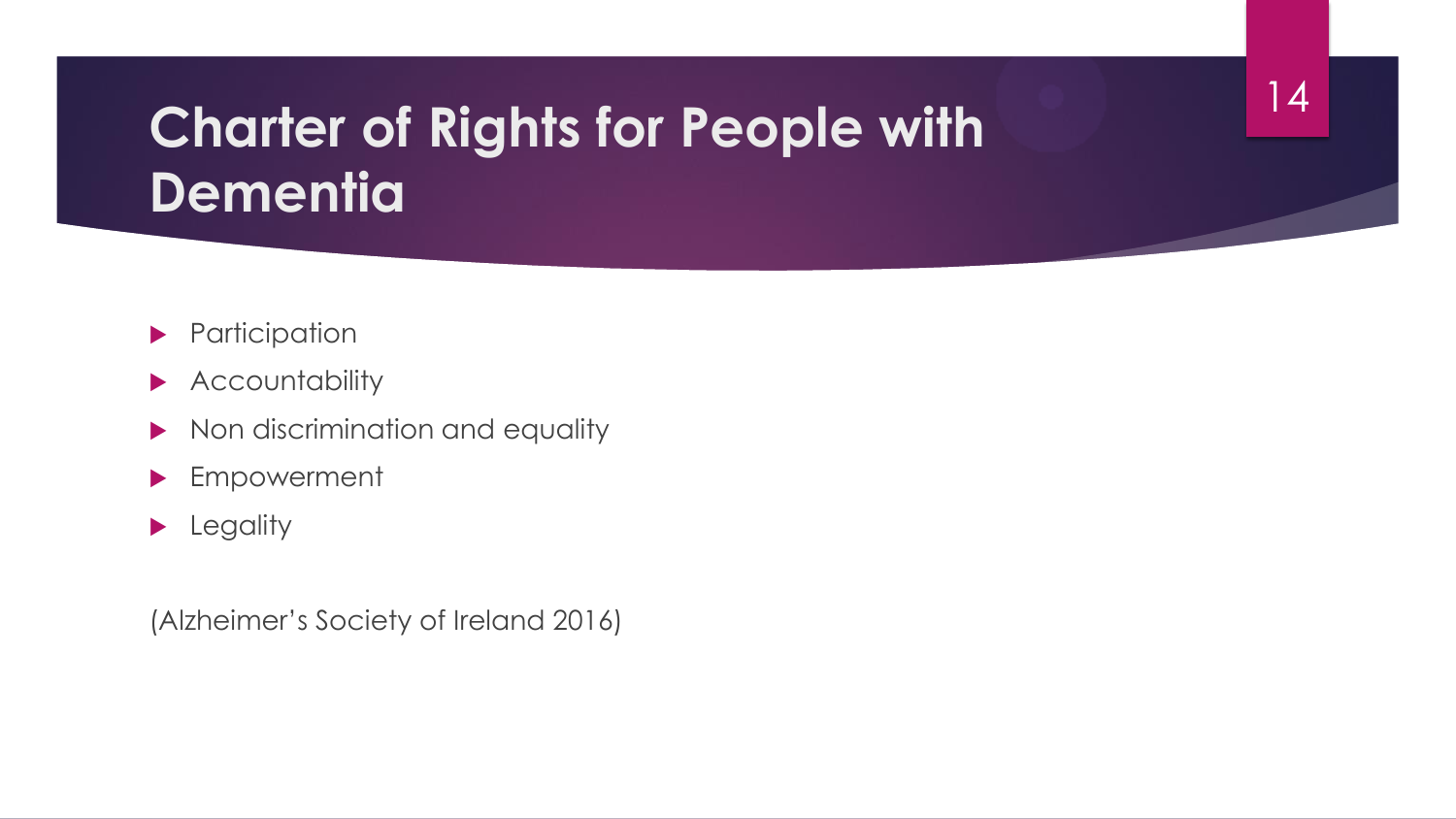## **Charter of Rights for People with Dementia**

14

- **Participation**
- **Accountability**
- Non discrimination and equality
- **Empowerment**
- **Legality**

(Alzheimer's Society of Ireland 2016)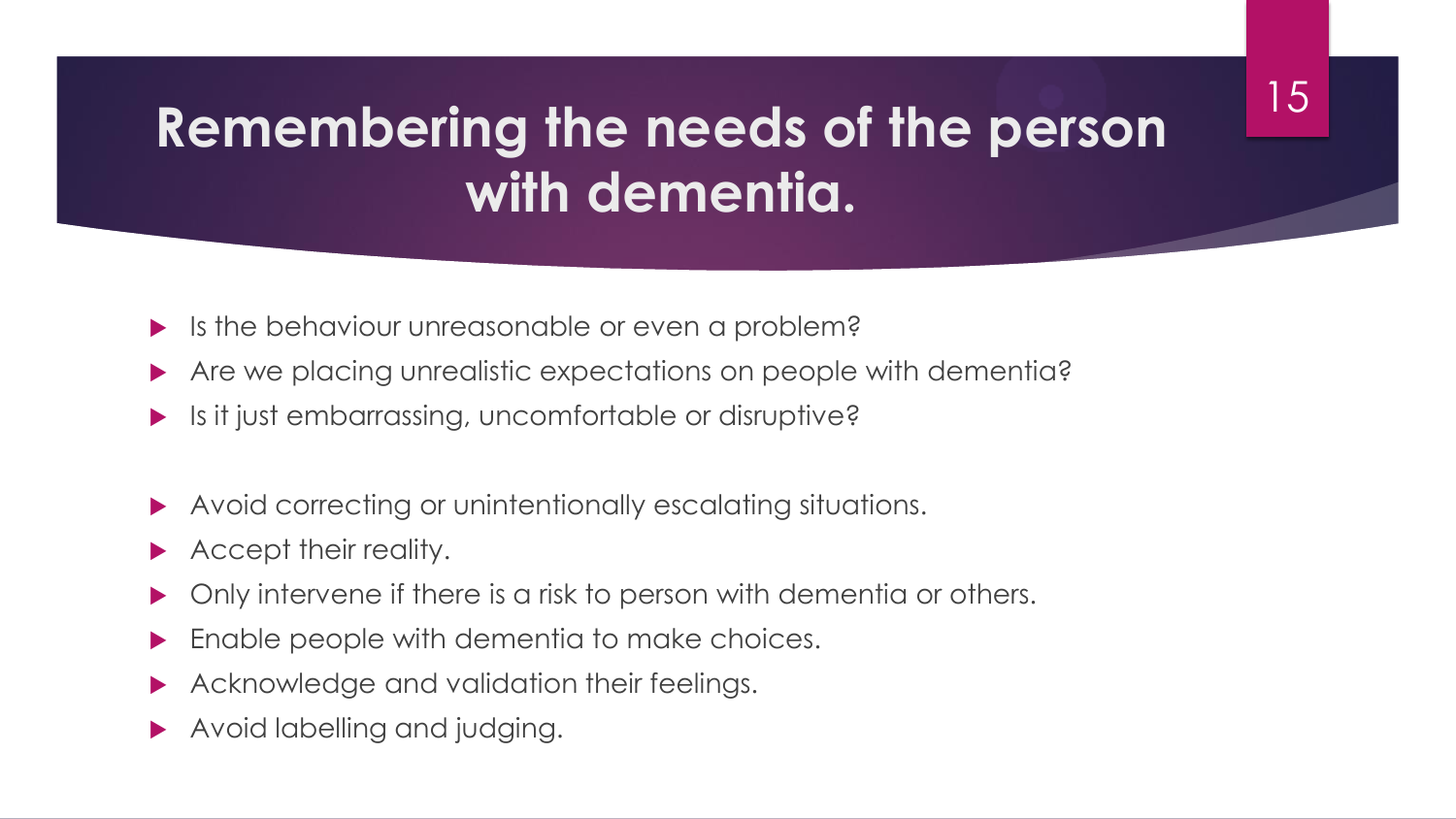### **Remembering the needs of the person with dementia.**

- Is the behaviour unreasonable or even a problem?
- Are we placing unrealistic expectations on people with dementia?
- Is it just embarrassing, uncomfortable or disruptive?
- Avoid correcting or unintentionally escalating situations.
- Accept their reality.
- Only intervene if there is a risk to person with dementia or others.
- Enable people with dementia to make choices.
- Acknowledge and validation their feelings.
- Avoid labelling and judging.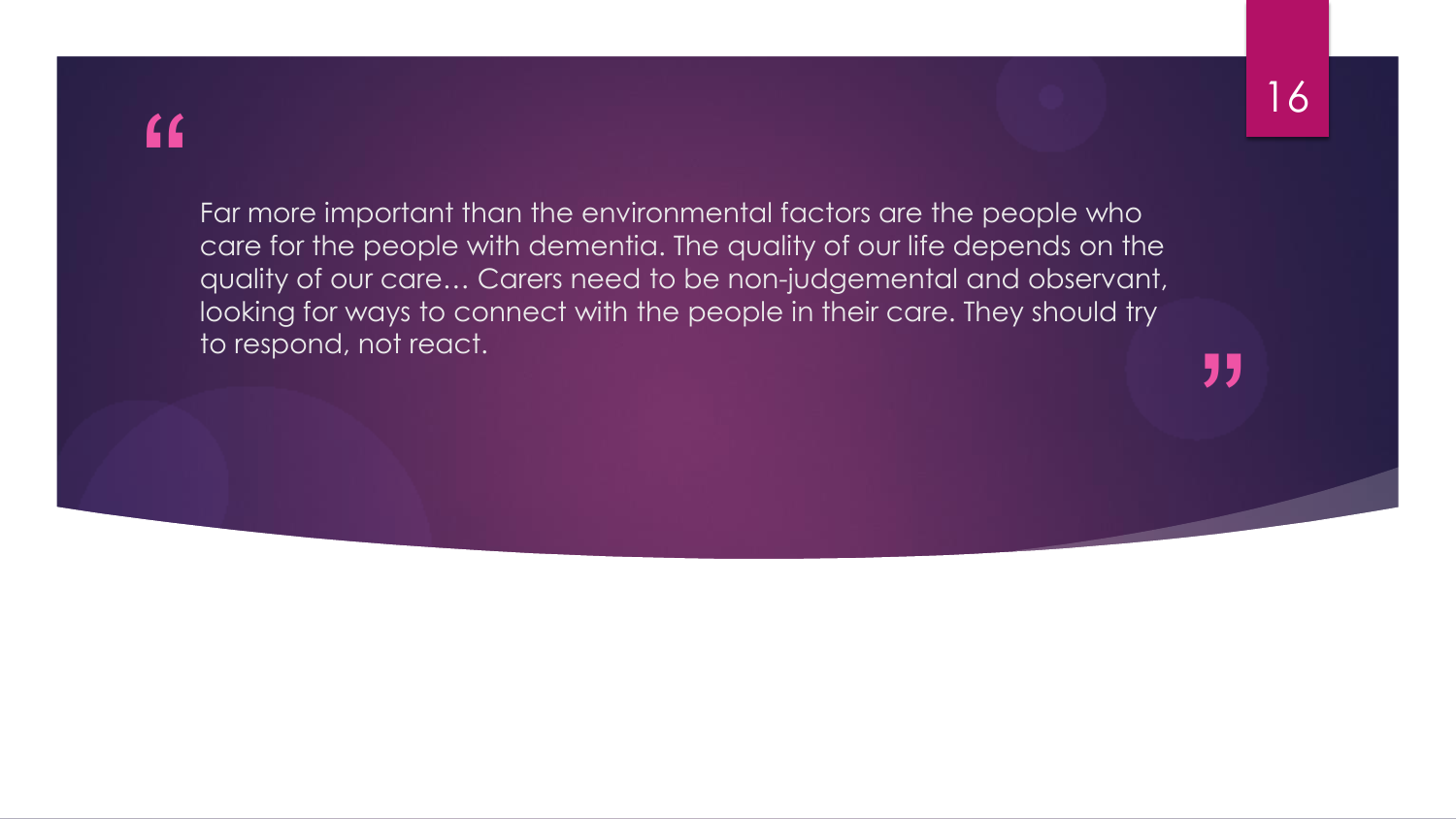#### "

Far more important than the environmental factors are the people who care for the people with dementia. The quality of our life depends on the quality of our care… Carers need to be non-judgemental and observant, looking for ways to connect with the people in their care. They should try to respond, not react.

"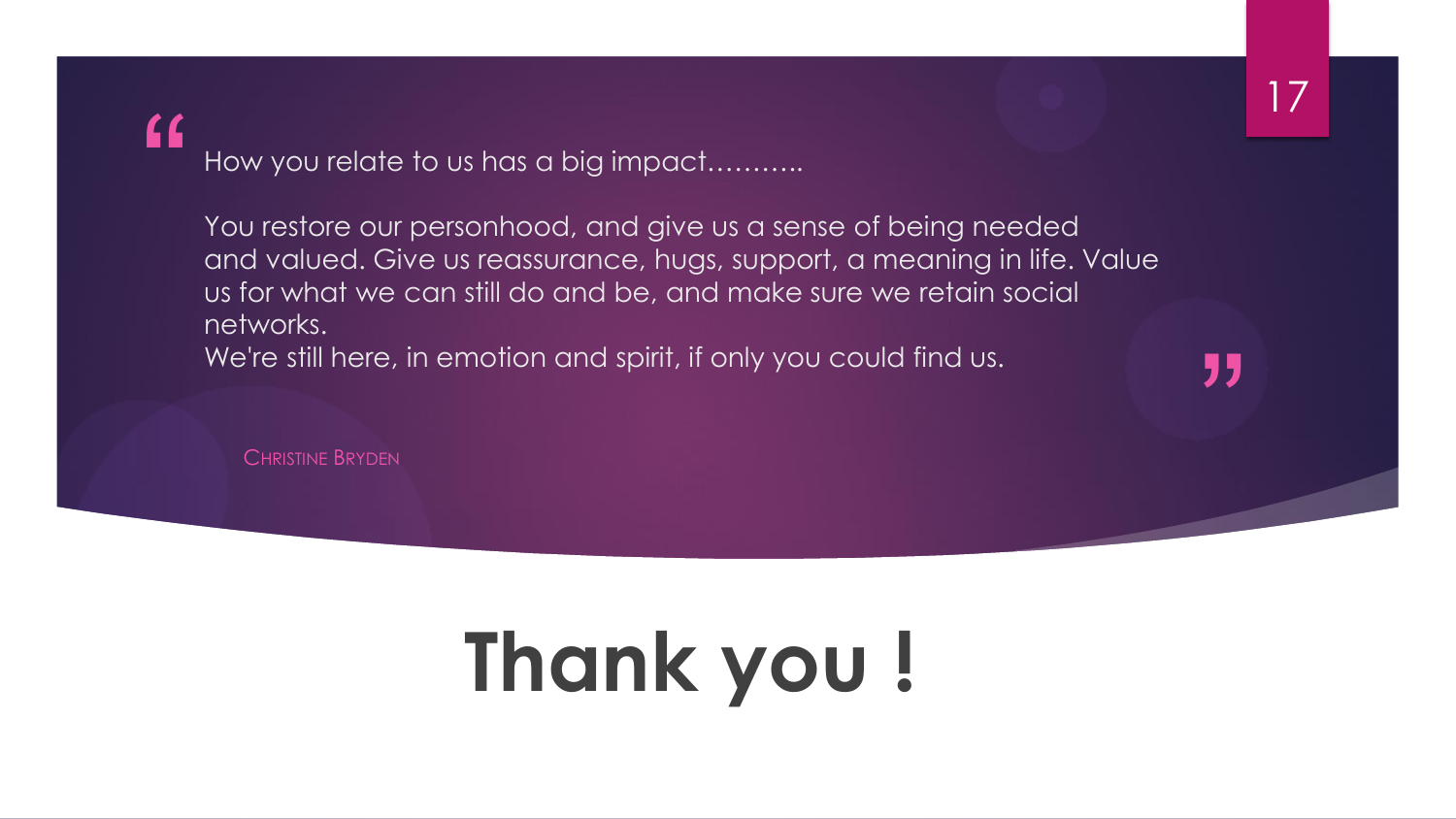77

#### $\epsilon$

How you relate to us has a big impact...

You restore our personhood, and give us a sense of being needed and valued. Give us reassurance, hugs, support, a meaning in life. Value us for what we can still do and be, and make sure we retain social networks.

We're still here, in emotion and spirit, if only you could find us.

CHRISTINE BRYDEN

# **Thank you !**